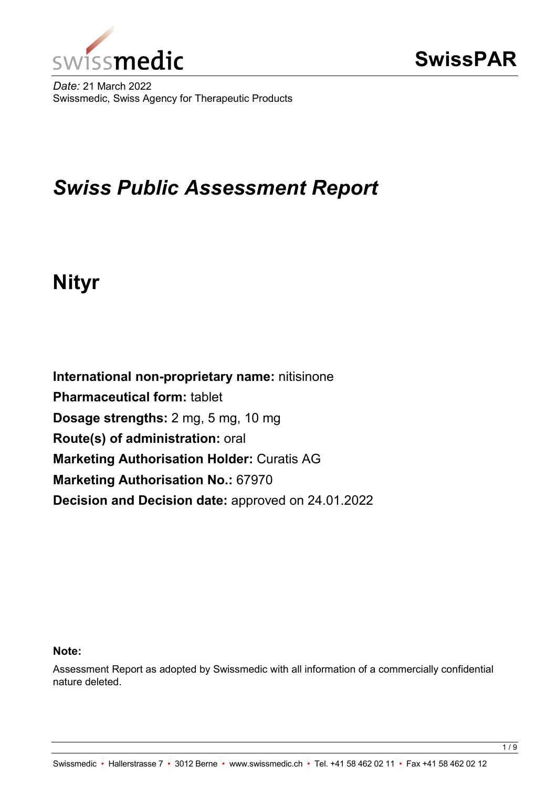

*Date:* 21 March 2022 Swissmedic, Swiss Agency for Therapeutic Products

# *Swiss Public Assessment Report*

# **Nityr**

**International non-proprietary name:** nitisinone **Pharmaceutical form:** tablet **Dosage strengths:** 2 mg, 5 mg, 10 mg **Route(s) of administration:** oral **Marketing Authorisation Holder:** Curatis AG **Marketing Authorisation No.:** 67970 **Decision and Decision date:** approved on 24.01.2022

#### **Note:**

Assessment Report as adopted by Swissmedic with all information of a commercially confidential nature deleted.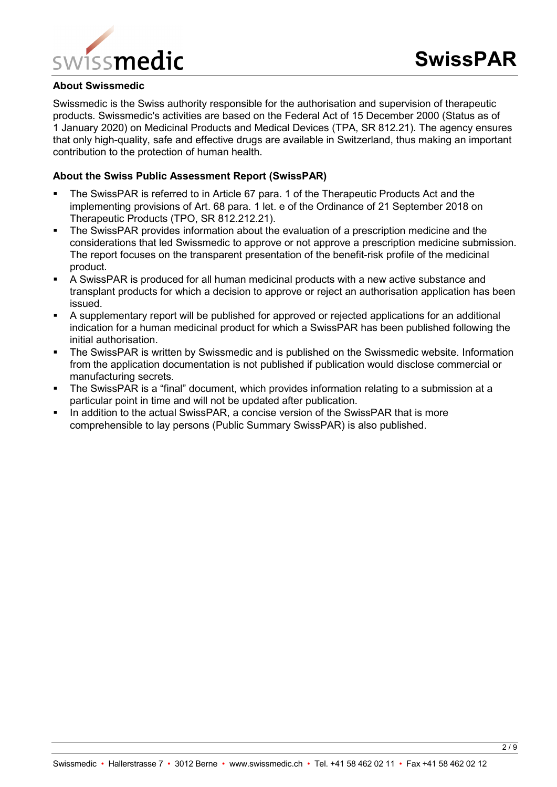

#### **About Swissmedic**

Swissmedic is the Swiss authority responsible for the authorisation and supervision of therapeutic products. Swissmedic's activities are based on the Federal Act of 15 December 2000 (Status as of 1 January 2020) on Medicinal Products and Medical Devices (TPA, SR 812.21). The agency ensures that only high-quality, safe and effective drugs are available in Switzerland, thus making an important contribution to the protection of human health.

#### **About the Swiss Public Assessment Report (SwissPAR)**

- The SwissPAR is referred to in Article 67 para. 1 of the Therapeutic Products Act and the implementing provisions of Art. 68 para. 1 let. e of the Ordinance of 21 September 2018 on Therapeutic Products (TPO, SR 812.212.21).
- The SwissPAR provides information about the evaluation of a prescription medicine and the considerations that led Swissmedic to approve or not approve a prescription medicine submission. The report focuses on the transparent presentation of the benefit-risk profile of the medicinal product.
- A SwissPAR is produced for all human medicinal products with a new active substance and transplant products for which a decision to approve or reject an authorisation application has been issued.
- A supplementary report will be published for approved or rejected applications for an additional indication for a human medicinal product for which a SwissPAR has been published following the initial authorisation.
- **The SwissPAR is written by Swissmedic and is published on the Swissmedic website. Information** from the application documentation is not published if publication would disclose commercial or manufacturing secrets.
- The SwissPAR is a "final" document, which provides information relating to a submission at a particular point in time and will not be updated after publication.
- In addition to the actual SwissPAR, a concise version of the SwissPAR that is more comprehensible to lay persons (Public Summary SwissPAR) is also published.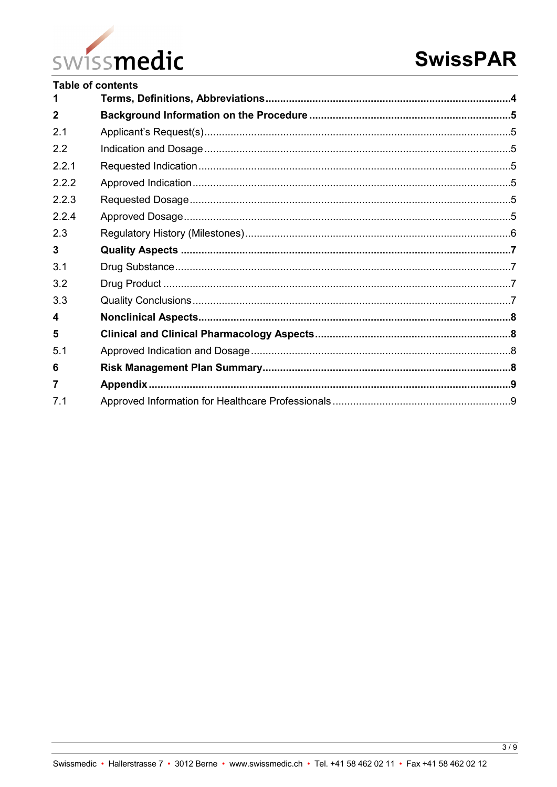

|                  | <b>Table of contents</b> |  |
|------------------|--------------------------|--|
|                  |                          |  |
| $\mathbf 2$      |                          |  |
| 2.1              |                          |  |
| 2.2              |                          |  |
| 221              |                          |  |
| 2.2.2            |                          |  |
| 223              |                          |  |
| 2.2.4            |                          |  |
| 2.3              |                          |  |
| $\mathbf{3}$     |                          |  |
| 3.1              |                          |  |
| 3.2              |                          |  |
| 3.3              |                          |  |
| $\boldsymbol{4}$ |                          |  |
| 5                |                          |  |
| 5.1              |                          |  |
| 6                |                          |  |
| 7                |                          |  |
| 7 <sub>1</sub>   |                          |  |
|                  |                          |  |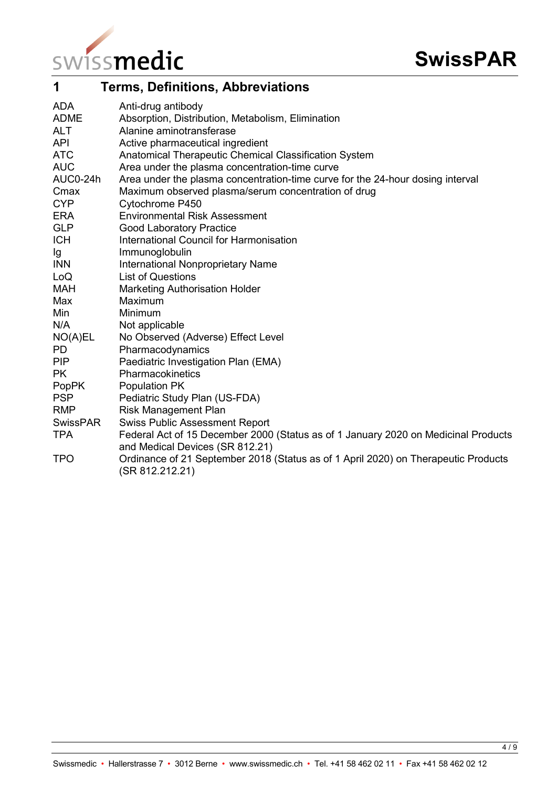

<span id="page-3-0"></span>

| 1            | <b>Terms, Definitions, Abbreviations</b>                                                                              |
|--------------|-----------------------------------------------------------------------------------------------------------------------|
| <b>ADA</b>   | Anti-drug antibody                                                                                                    |
| <b>ADME</b>  | Absorption, Distribution, Metabolism, Elimination                                                                     |
| <b>ALT</b>   | Alanine aminotransferase                                                                                              |
| <b>API</b>   | Active pharmaceutical ingredient                                                                                      |
| <b>ATC</b>   | Anatomical Therapeutic Chemical Classification System                                                                 |
| <b>AUC</b>   | Area under the plasma concentration-time curve                                                                        |
| AUC0-24h     | Area under the plasma concentration-time curve for the 24-hour dosing interval                                        |
| Cmax         | Maximum observed plasma/serum concentration of drug                                                                   |
| <b>CYP</b>   | Cytochrome P450                                                                                                       |
| <b>ERA</b>   | <b>Environmental Risk Assessment</b>                                                                                  |
| <b>GLP</b>   | <b>Good Laboratory Practice</b>                                                                                       |
| <b>ICH</b>   | International Council for Harmonisation                                                                               |
| Ig           | Immunoglobulin                                                                                                        |
| <b>INN</b>   | <b>International Nonproprietary Name</b>                                                                              |
| LoQ          | <b>List of Questions</b>                                                                                              |
| <b>MAH</b>   | <b>Marketing Authorisation Holder</b>                                                                                 |
| Max          | Maximum                                                                                                               |
| Min          | Minimum                                                                                                               |
| N/A          | Not applicable                                                                                                        |
| NO(A)EL      | No Observed (Adverse) Effect Level                                                                                    |
| <b>PD</b>    | Pharmacodynamics                                                                                                      |
| <b>PIP</b>   | Paediatric Investigation Plan (EMA)                                                                                   |
| <b>PK</b>    | Pharmacokinetics                                                                                                      |
| <b>PopPK</b> | Population PK                                                                                                         |
| <b>PSP</b>   | Pediatric Study Plan (US-FDA)                                                                                         |
| <b>RMP</b>   | <b>Risk Management Plan</b>                                                                                           |
| SwissPAR     | <b>Swiss Public Assessment Report</b>                                                                                 |
| <b>TPA</b>   | Federal Act of 15 December 2000 (Status as of 1 January 2020 on Medicinal Products<br>and Medical Devices (SR 812.21) |
| <b>TPO</b>   | Ordinance of 21 September 2018 (Status as of 1 April 2020) on Therapeutic Products<br>(SR 812.212.21)                 |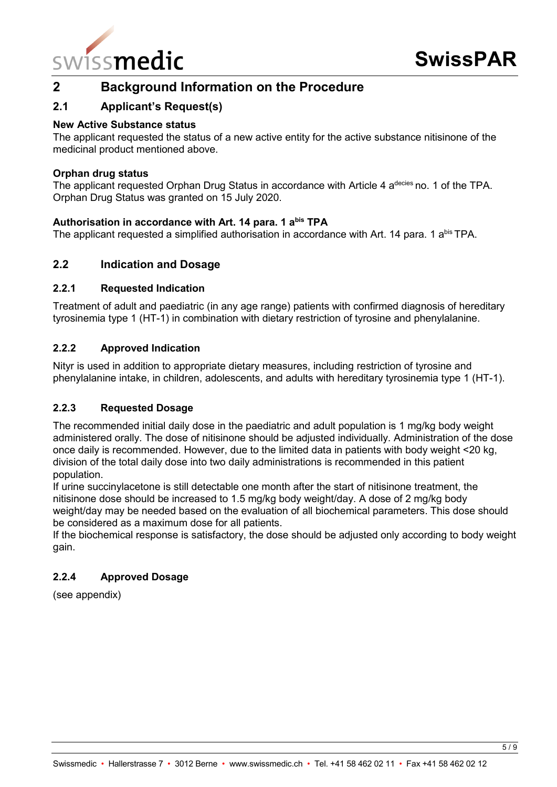

# <span id="page-4-0"></span>**2 Background Information on the Procedure**

# <span id="page-4-1"></span>**2.1 Applicant's Request(s)**

#### **New Active Substance status**

The applicant requested the status of a new active entity for the active substance nitisinone of the medicinal product mentioned above.

#### **Orphan drug status**

The applicant requested Orphan Drug Status in accordance with Article 4 a<sup>decies</sup> no. 1 of the TPA. Orphan Drug Status was granted on 15 July 2020.

#### **Authorisation in accordance with Art. 14 para. 1 abis TPA**

The applicant requested a simplified authorisation in accordance with Art. 14 para. 1 a<sup>bis</sup> TPA.

### <span id="page-4-2"></span>**2.2 Indication and Dosage**

#### <span id="page-4-3"></span>**2.2.1 Requested Indication**

Treatment of adult and paediatric (in any age range) patients with confirmed diagnosis of hereditary tyrosinemia type 1 (HT-1) in combination with dietary restriction of tyrosine and phenylalanine.

#### <span id="page-4-4"></span>**2.2.2 Approved Indication**

Nityr is used in addition to appropriate dietary measures, including restriction of tyrosine and phenylalanine intake, in children, adolescents, and adults with hereditary tyrosinemia type 1 (HT-1).

#### <span id="page-4-5"></span>**2.2.3 Requested Dosage**

The recommended initial daily dose in the paediatric and adult population is 1 mg/kg body weight administered orally. The dose of nitisinone should be adjusted individually. Administration of the dose once daily is recommended. However, due to the limited data in patients with body weight <20 kg, division of the total daily dose into two daily administrations is recommended in this patient population.

If urine succinylacetone is still detectable one month after the start of nitisinone treatment, the nitisinone dose should be increased to 1.5 mg/kg body weight/day. A dose of 2 mg/kg body weight/day may be needed based on the evaluation of all biochemical parameters. This dose should be considered as a maximum dose for all patients.

If the biochemical response is satisfactory, the dose should be adjusted only according to body weight gain.

#### <span id="page-4-6"></span>**2.2.4 Approved Dosage**

(see appendix)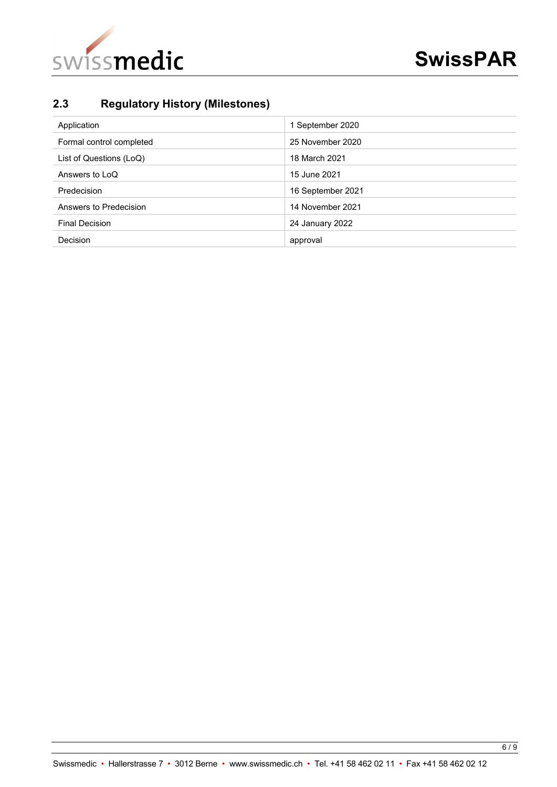

# <span id="page-5-0"></span>**2.3 Regulatory History (Milestones)**

| Application              | 1 September 2020  |
|--------------------------|-------------------|
| Formal control completed | 25 November 2020  |
| List of Questions (LoQ)  | 18 March 2021     |
| Answers to LoQ           | 15 June 2021      |
| Predecision              | 16 September 2021 |
| Answers to Predecision   | 14 November 2021  |
| <b>Final Decision</b>    | 24 January 2022   |
| Decision                 | approval          |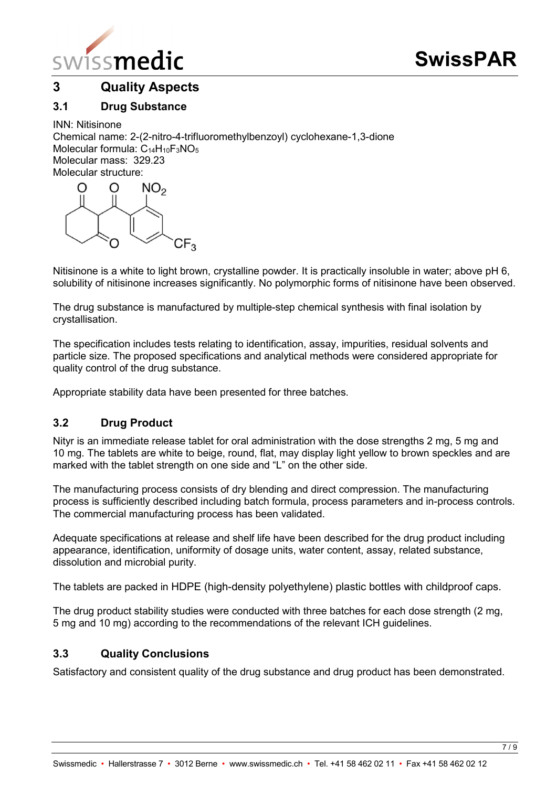

# <span id="page-6-0"></span>**3 Quality Aspects**

# <span id="page-6-1"></span>**3.1 Drug Substance**

INN: Nitisinone Chemical name: 2-(2-nitro-4-trifluoromethylbenzoyl) cyclohexane-1,3-dione Molecular formula:  $C_{14}H_{10}F_3NO_5$ Molecular mass: 329.23 Molecular structure:



Nitisinone is a white to light brown, crystalline powder. It is practically insoluble in water; above pH 6, solubility of nitisinone increases significantly. No polymorphic forms of nitisinone have been observed.

The drug substance is manufactured by multiple-step chemical synthesis with final isolation by crystallisation.

The specification includes tests relating to identification, assay, impurities, residual solvents and particle size. The proposed specifications and analytical methods were considered appropriate for quality control of the drug substance.

Appropriate stability data have been presented for three batches.

### <span id="page-6-2"></span>**3.2 Drug Product**

Nityr is an immediate release tablet for oral administration with the dose strengths 2 mg, 5 mg and 10 mg. The tablets are white to beige, round, flat, may display light yellow to brown speckles and are marked with the tablet strength on one side and "L" on the other side.

The manufacturing process consists of dry blending and direct compression. The manufacturing process is sufficiently described including batch formula, process parameters and in-process controls. The commercial manufacturing process has been validated.

Adequate specifications at release and shelf life have been described for the drug product including appearance, identification, uniformity of dosage units, water content, assay, related substance, dissolution and microbial purity.

The tablets are packed in HDPE (high-density polyethylene) plastic bottles with childproof caps.

The drug product stability studies were conducted with three batches for each dose strength (2 mg, 5 mg and 10 mg) according to the recommendations of the relevant ICH guidelines.

# <span id="page-6-3"></span>**3.3 Quality Conclusions**

Satisfactory and consistent quality of the drug substance and drug product has been demonstrated.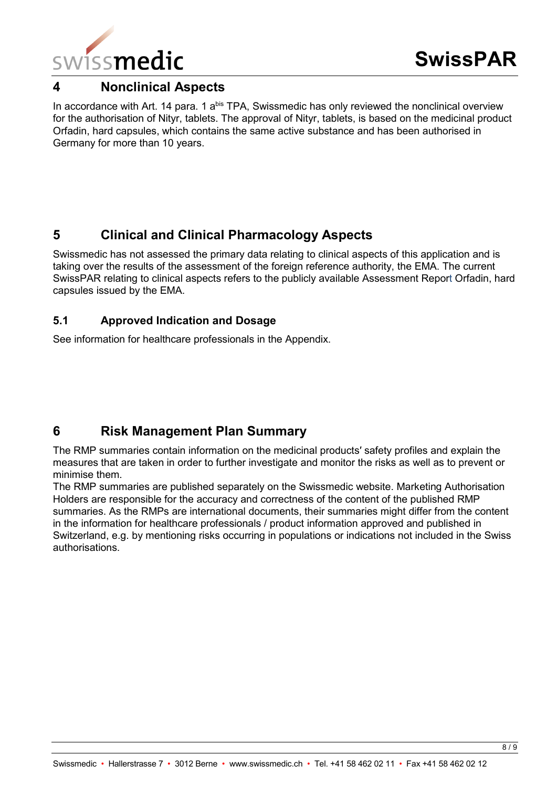

# <span id="page-7-0"></span>**4 Nonclinical Aspects**

In accordance with Art. 14 para. 1 a<sup>bis</sup> TPA, Swissmedic has only reviewed the nonclinical overview for the authorisation of Nityr, tablets. The approval of Nityr, tablets, is based on the medicinal product Orfadin, hard capsules, which contains the same active substance and has been authorised in Germany for more than 10 years.

# <span id="page-7-1"></span>**5 Clinical and Clinical Pharmacology Aspects**

Swissmedic has not assessed the primary data relating to clinical aspects of this application and is taking over the results of the assessment of the foreign reference authority, the EMA. The current SwissPAR relating to clinical aspects refers to the publicly available Assessment Report Orfadin, hard capsules issued by the EMA.

# <span id="page-7-2"></span>**5.1 Approved Indication and Dosage**

See information for healthcare professionals in the Appendix.

# <span id="page-7-3"></span>**6 Risk Management Plan Summary**

The RMP summaries contain information on the medicinal products′ safety profiles and explain the measures that are taken in order to further investigate and monitor the risks as well as to prevent or minimise them.

The RMP summaries are published separately on the Swissmedic website. Marketing Authorisation Holders are responsible for the accuracy and correctness of the content of the published RMP summaries. As the RMPs are international documents, their summaries might differ from the content in the information for healthcare professionals / product information approved and published in Switzerland, e.g. by mentioning risks occurring in populations or indications not included in the Swiss authorisations.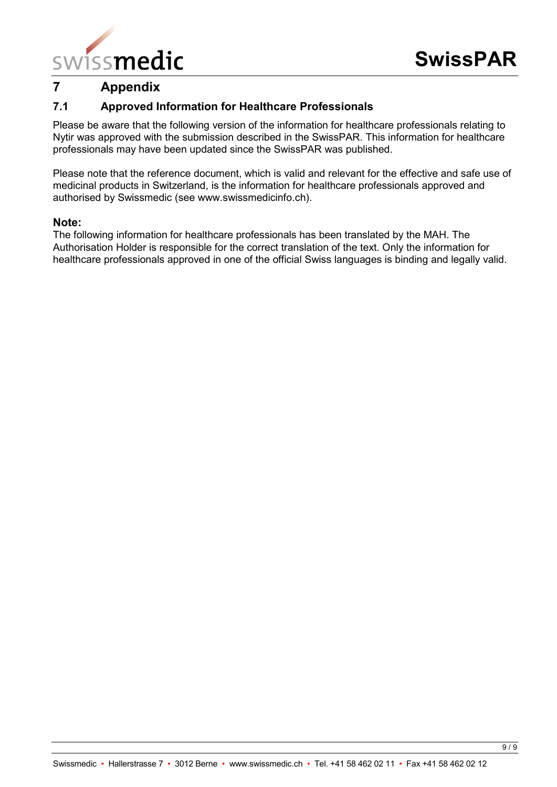

# <span id="page-8-0"></span>**7 Appendix**

# <span id="page-8-1"></span>**7.1 Approved Information for Healthcare Professionals**

Please be aware that the following version of the information for healthcare professionals relating to Nytir was approved with the submission described in the SwissPAR. This information for healthcare professionals may have been updated since the SwissPAR was published.

Please note that the reference document, which is valid and relevant for the effective and safe use of medicinal products in Switzerland, is the information for healthcare professionals approved and authorised by Swissmedic (see www.swissmedicinfo.ch).

#### **Note:**

The following information for healthcare professionals has been translated by the MAH. The Authorisation Holder is responsible for the correct translation of the text. Only the information for healthcare professionals approved in one of the official Swiss languages is binding and legally valid.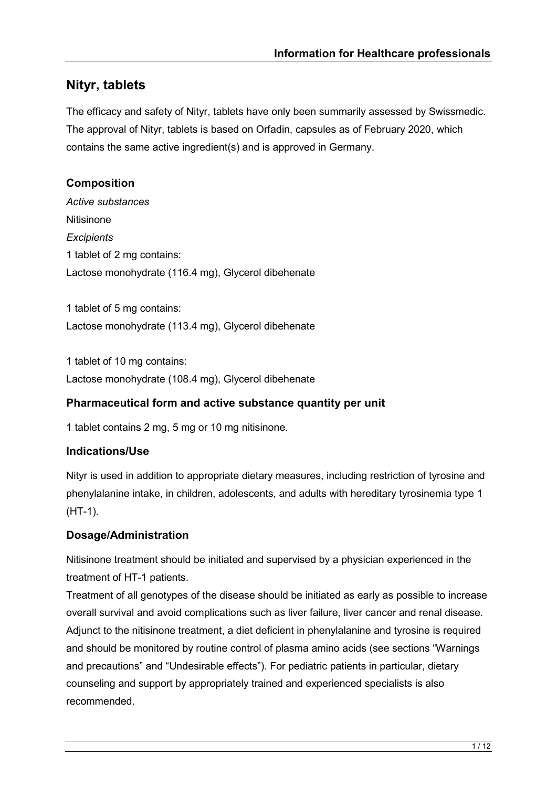# **Nityr, tablets**

The efficacy and safety of Nityr, tablets have only been summarily assessed by Swissmedic. The approval of Nityr, tablets is based on Orfadin, capsules as of February 2020, which contains the same active ingredient(s) and is approved in Germany.

# **Composition**

*Active substances* **Nitisinone** *Excipients* 1 tablet of 2 mg contains: Lactose monohydrate (116.4 mg), Glycerol dibehenate

1 tablet of 5 mg contains: Lactose monohydrate (113.4 mg), Glycerol dibehenate

1 tablet of 10 mg contains: Lactose monohydrate (108.4 mg), Glycerol dibehenate

# **Pharmaceutical form and active substance quantity per unit**

1 tablet contains 2 mg, 5 mg or 10 mg nitisinone.

# **Indications/Use**

Nityr is used in addition to appropriate dietary measures, including restriction of tyrosine and phenylalanine intake, in children, adolescents, and adults with hereditary tyrosinemia type 1 (HT-1).

# **Dosage/Administration**

Nitisinone treatment should be initiated and supervised by a physician experienced in the treatment of HT-1 patients.

Treatment of all genotypes of the disease should be initiated as early as possible to increase overall survival and avoid complications such as liver failure, liver cancer and renal disease. Adjunct to the nitisinone treatment, a diet deficient in phenylalanine and tyrosine is required and should be monitored by routine control of plasma amino acids (see sections "Warnings and precautions" and "Undesirable effects"). For pediatric patients in particular, dietary counseling and support by appropriately trained and experienced specialists is also recommended.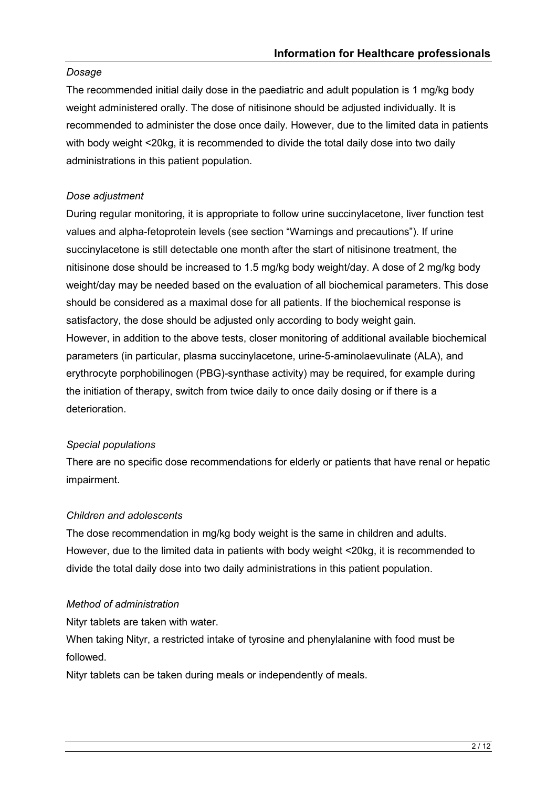# *Dosage*

The recommended initial daily dose in the paediatric and adult population is 1 mg/kg body weight administered orally. The dose of nitisinone should be adjusted individually. It is recommended to administer the dose once daily. However, due to the limited data in patients with body weight <20kg, it is recommended to divide the total daily dose into two daily administrations in this patient population.

# *Dose adjustment*

During regular monitoring, it is appropriate to follow urine succinylacetone, liver function test values and alpha-fetoprotein levels (see section "Warnings and precautions"). If urine succinylacetone is still detectable one month after the start of nitisinone treatment, the nitisinone dose should be increased to 1.5 mg/kg body weight/day. A dose of 2 mg/kg body weight/day may be needed based on the evaluation of all biochemical parameters. This dose should be considered as a maximal dose for all patients. If the biochemical response is satisfactory, the dose should be adjusted only according to body weight gain. However, in addition to the above tests, closer monitoring of additional available biochemical parameters (in particular, plasma succinylacetone, urine-5-aminolaevulinate (ALA), and erythrocyte porphobilinogen (PBG)-synthase activity) may be required, for example during the initiation of therapy, switch from twice daily to once daily dosing or if there is a deterioration.

# *Special populations*

There are no specific dose recommendations for elderly or patients that have renal or hepatic impairment.

# *Children and adolescents*

The dose recommendation in mg/kg body weight is the same in children and adults. However, due to the limited data in patients with body weight <20kg, it is recommended to divide the total daily dose into two daily administrations in this patient population.

### *Method of administration*

Nityr tablets are taken with water.

When taking Nityr, a restricted intake of tyrosine and phenylalanine with food must be followed.

Nityr tablets can be taken during meals or independently of meals.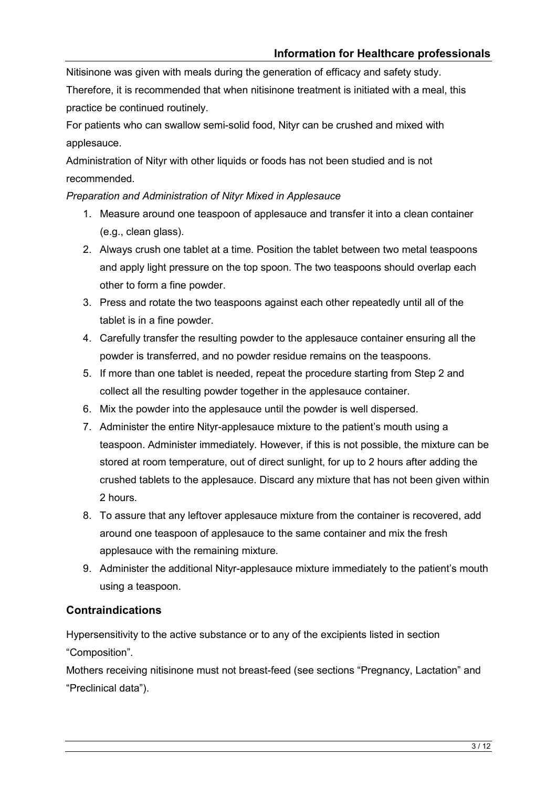Nitisinone was given with meals during the generation of efficacy and safety study. Therefore, it is recommended that when nitisinone treatment is initiated with a meal, this practice be continued routinely.

For patients who can swallow semi-solid food, Nityr can be crushed and mixed with applesauce.

Administration of Nityr with other liquids or foods has not been studied and is not recommended.

# *Preparation and Administration of Nityr Mixed in Applesauce*

- 1. Measure around one teaspoon of applesauce and transfer it into a clean container (e.g., clean glass).
- 2. Always crush one tablet at a time. Position the tablet between two metal teaspoons and apply light pressure on the top spoon. The two teaspoons should overlap each other to form a fine powder.
- 3. Press and rotate the two teaspoons against each other repeatedly until all of the tablet is in a fine powder.
- 4. Carefully transfer the resulting powder to the applesauce container ensuring all the powder is transferred, and no powder residue remains on the teaspoons.
- 5. If more than one tablet is needed, repeat the procedure starting from Step 2 and collect all the resulting powder together in the applesauce container.
- 6. Mix the powder into the applesauce until the powder is well dispersed.
- 7. Administer the entire Nityr-applesauce mixture to the patient's mouth using a teaspoon. Administer immediately. However, if this is not possible, the mixture can be stored at room temperature, out of direct sunlight, for up to 2 hours after adding the crushed tablets to the applesauce. Discard any mixture that has not been given within 2 hours.
- 8. To assure that any leftover applesauce mixture from the container is recovered, add around one teaspoon of applesauce to the same container and mix the fresh applesauce with the remaining mixture.
- 9. Administer the additional Nityr-applesauce mixture immediately to the patient's mouth using a teaspoon.

# **Contraindications**

Hypersensitivity to the active substance or to any of the excipients listed in section "Composition".

Mothers receiving nitisinone must not breast-feed (see sections "Pregnancy, Lactation" and "Preclinical data").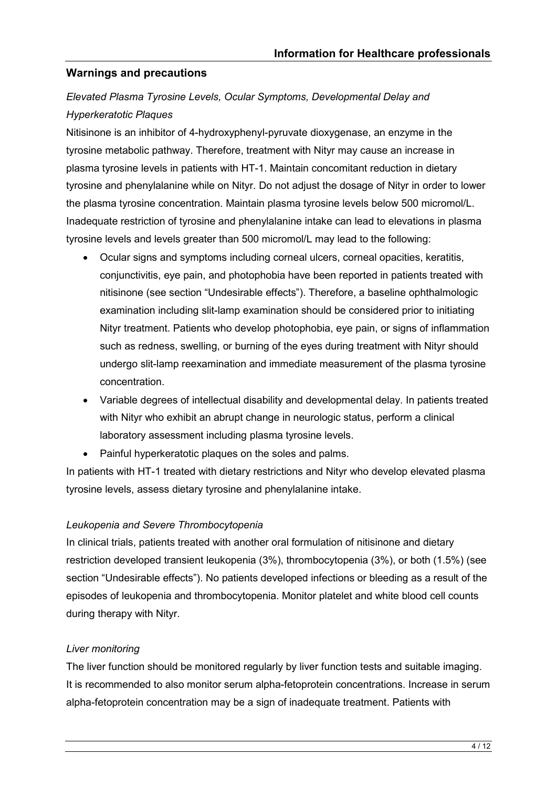# **Warnings and precautions**

# *Elevated Plasma Tyrosine Levels, Ocular Symptoms, Developmental Delay and Hyperkeratotic Plaques*

Nitisinone is an inhibitor of 4-hydroxyphenyl-pyruvate dioxygenase, an enzyme in the tyrosine metabolic pathway. Therefore, treatment with Nityr may cause an increase in plasma tyrosine levels in patients with HT-1. Maintain concomitant reduction in dietary tyrosine and phenylalanine while on Nityr. Do not adjust the dosage of Nityr in order to lower the plasma tyrosine concentration. Maintain plasma tyrosine levels below 500 micromol/L. Inadequate restriction of tyrosine and phenylalanine intake can lead to elevations in plasma tyrosine levels and levels greater than 500 micromol/L may lead to the following:

- Ocular signs and symptoms including corneal ulcers, corneal opacities, keratitis, conjunctivitis, eye pain, and photophobia have been reported in patients treated with nitisinone (see section "Undesirable effects"). Therefore, a baseline ophthalmologic examination including slit-lamp examination should be considered prior to initiating Nityr treatment. Patients who develop photophobia, eye pain, or signs of inflammation such as redness, swelling, or burning of the eyes during treatment with Nityr should undergo slit-lamp reexamination and immediate measurement of the plasma tyrosine concentration.
- Variable degrees of intellectual disability and developmental delay. In patients treated with Nityr who exhibit an abrupt change in neurologic status, perform a clinical laboratory assessment including plasma tyrosine levels.
- Painful hyperkeratotic plaques on the soles and palms.

In patients with HT-1 treated with dietary restrictions and Nityr who develop elevated plasma tyrosine levels, assess dietary tyrosine and phenylalanine intake.

#### *Leukopenia and Severe Thrombocytopenia*

In clinical trials, patients treated with another oral formulation of nitisinone and dietary restriction developed transient leukopenia (3%), thrombocytopenia (3%), or both (1.5%) (see section "Undesirable effects"). No patients developed infections or bleeding as a result of the episodes of leukopenia and thrombocytopenia. Monitor platelet and white blood cell counts during therapy with Nityr.

### *Liver monitoring*

The liver function should be monitored regularly by liver function tests and suitable imaging. It is recommended to also monitor serum alpha-fetoprotein concentrations. Increase in serum alpha-fetoprotein concentration may be a sign of inadequate treatment. Patients with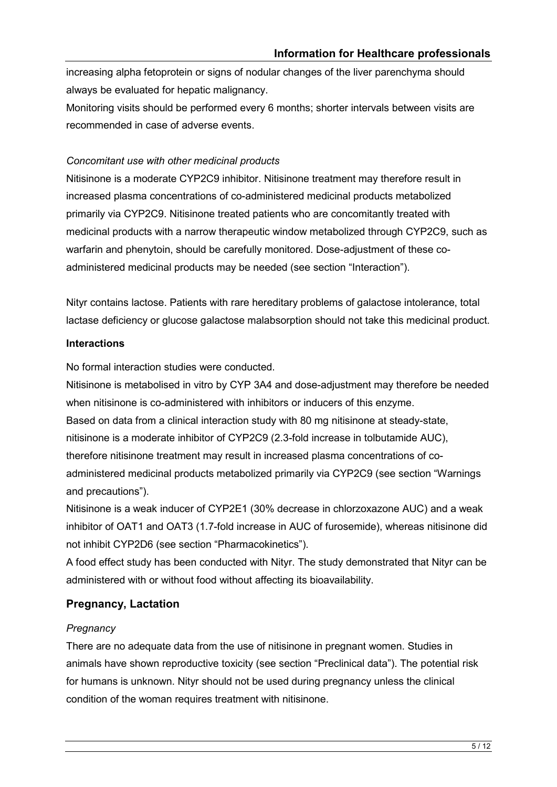increasing alpha fetoprotein or signs of nodular changes of the liver parenchyma should always be evaluated for hepatic malignancy.

Monitoring visits should be performed every 6 months; shorter intervals between visits are recommended in case of adverse events.

### *Concomitant use with other medicinal products*

Nitisinone is a moderate CYP2C9 inhibitor. Nitisinone treatment may therefore result in increased plasma concentrations of co-administered medicinal products metabolized primarily via CYP2C9. Nitisinone treated patients who are concomitantly treated with medicinal products with a narrow therapeutic window metabolized through CYP2C9, such as warfarin and phenytoin, should be carefully monitored. Dose-adjustment of these coadministered medicinal products may be needed (see section "Interaction").

Nityr contains lactose. Patients with rare hereditary problems of galactose intolerance, total lactase deficiency or glucose galactose malabsorption should not take this medicinal product.

### **Interactions**

No formal interaction studies were conducted.

Nitisinone is metabolised in vitro by CYP 3A4 and dose-adjustment may therefore be needed when nitisinone is co-administered with inhibitors or inducers of this enzyme.

Based on data from a clinical interaction study with 80 mg nitisinone at steady-state,

nitisinone is a moderate inhibitor of CYP2C9 (2.3-fold increase in tolbutamide AUC),

therefore nitisinone treatment may result in increased plasma concentrations of co-

administered medicinal products metabolized primarily via CYP2C9 (see section "Warnings and precautions").

Nitisinone is a weak inducer of CYP2E1 (30% decrease in chlorzoxazone AUC) and a weak inhibitor of OAT1 and OAT3 (1.7-fold increase in AUC of furosemide), whereas nitisinone did not inhibit CYP2D6 (see section "Pharmacokinetics").

A food effect study has been conducted with Nityr. The study demonstrated that Nityr can be administered with or without food without affecting its bioavailability.

# **Pregnancy, Lactation**

# *Pregnancy*

There are no adequate data from the use of nitisinone in pregnant women. Studies in animals have shown reproductive toxicity (see section "Preclinical data"). The potential risk for humans is unknown. Nityr should not be used during pregnancy unless the clinical condition of the woman requires treatment with nitisinone.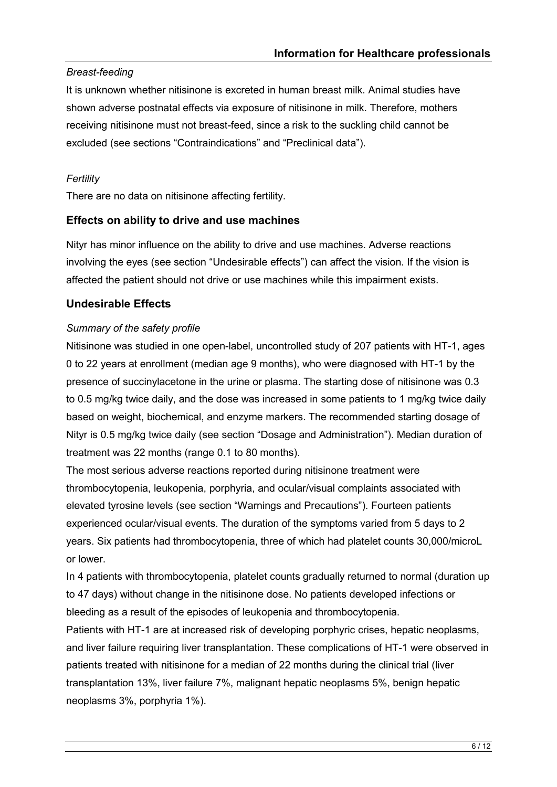# *Breast-feeding*

It is unknown whether nitisinone is excreted in human breast milk. Animal studies have shown adverse postnatal effects via exposure of nitisinone in milk. Therefore, mothers receiving nitisinone must not breast-feed, since a risk to the suckling child cannot be excluded (see sections "Contraindications" and "Preclinical data").

# *Fertility*

There are no data on nitisinone affecting fertility.

# **Effects on ability to drive and use machines**

Nityr has minor influence on the ability to drive and use machines. Adverse reactions involving the eyes (see section "Undesirable effects") can affect the vision. If the vision is affected the patient should not drive or use machines while this impairment exists.

# **Undesirable Effects**

# *Summary of the safety profile*

Nitisinone was studied in one open-label, uncontrolled study of 207 patients with HT-1, ages 0 to 22 years at enrollment (median age 9 months), who were diagnosed with HT-1 by the presence of succinylacetone in the urine or plasma. The starting dose of nitisinone was 0.3 to 0.5 mg/kg twice daily, and the dose was increased in some patients to 1 mg/kg twice daily based on weight, biochemical, and enzyme markers. The recommended starting dosage of Nityr is 0.5 mg/kg twice daily (see section "Dosage and Administration"). Median duration of treatment was 22 months (range 0.1 to 80 months).

The most serious adverse reactions reported during nitisinone treatment were thrombocytopenia, leukopenia, porphyria, and ocular/visual complaints associated with elevated tyrosine levels (see section "Warnings and Precautions"). Fourteen patients experienced ocular/visual events. The duration of the symptoms varied from 5 days to 2 years. Six patients had thrombocytopenia, three of which had platelet counts 30,000/microL or lower.

In 4 patients with thrombocytopenia, platelet counts gradually returned to normal (duration up to 47 days) without change in the nitisinone dose. No patients developed infections or bleeding as a result of the episodes of leukopenia and thrombocytopenia.

Patients with HT-1 are at increased risk of developing porphyric crises, hepatic neoplasms, and liver failure requiring liver transplantation. These complications of HT-1 were observed in patients treated with nitisinone for a median of 22 months during the clinical trial (liver transplantation 13%, liver failure 7%, malignant hepatic neoplasms 5%, benign hepatic neoplasms 3%, porphyria 1%).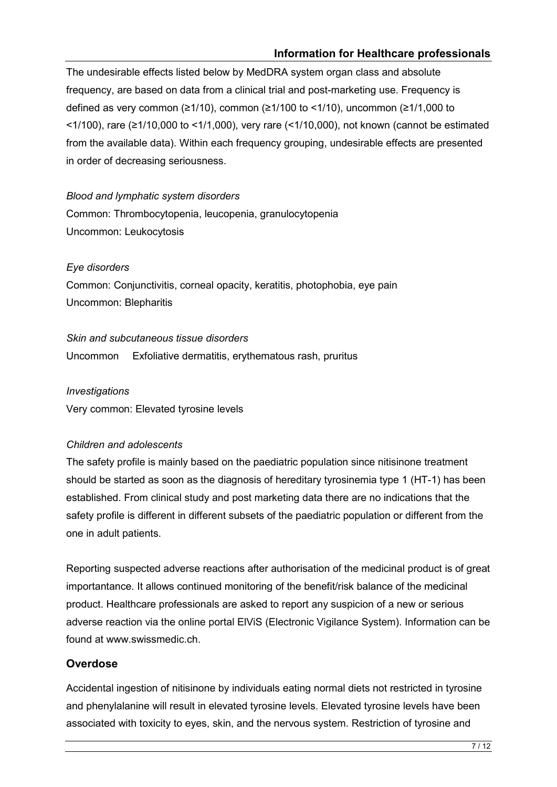### **Information for Healthcare professionals**

The undesirable effects listed below by MedDRA system organ class and absolute frequency, are based on data from a clinical trial and post-marketing use. Frequency is defined as very common (≥1/10), common (≥1/100 to <1/10), uncommon (≥1/1,000 to <1/100), rare (≥1/10,000 to <1/1,000), very rare (<1/10,000), not known (cannot be estimated from the available data). Within each frequency grouping, undesirable effects are presented in order of decreasing seriousness.

#### *Blood and lymphatic system disorders*

Common: Thrombocytopenia, leucopenia, granulocytopenia Uncommon: Leukocytosis

#### *Eye disorders*

Common: Conjunctivitis, corneal opacity, keratitis, photophobia, eye pain Uncommon: Blepharitis

*Skin and subcutaneous tissue disorders* Uncommon Exfoliative dermatitis, erythematous rash, pruritus

#### *Investigations*

Very common: Elevated tyrosine levels

#### *Children and adolescents*

The safety profile is mainly based on the paediatric population since nitisinone treatment should be started as soon as the diagnosis of hereditary tyrosinemia type 1 (HT-1) has been established. From clinical study and post marketing data there are no indications that the safety profile is different in different subsets of the paediatric population or different from the one in adult patients.

Reporting suspected adverse reactions after authorisation of the medicinal product is of great importantance. It allows continued monitoring of the benefit/risk balance of the medicinal product. Healthcare professionals are asked to report any suspicion of a new or serious adverse reaction via the online portal ElViS (Electronic Vigilance System). Information can be found at www.swissmedic.ch.

### **Overdose**

Accidental ingestion of nitisinone by individuals eating normal diets not restricted in tyrosine and phenylalanine will result in elevated tyrosine levels. Elevated tyrosine levels have been associated with toxicity to eyes, skin, and the nervous system. Restriction of tyrosine and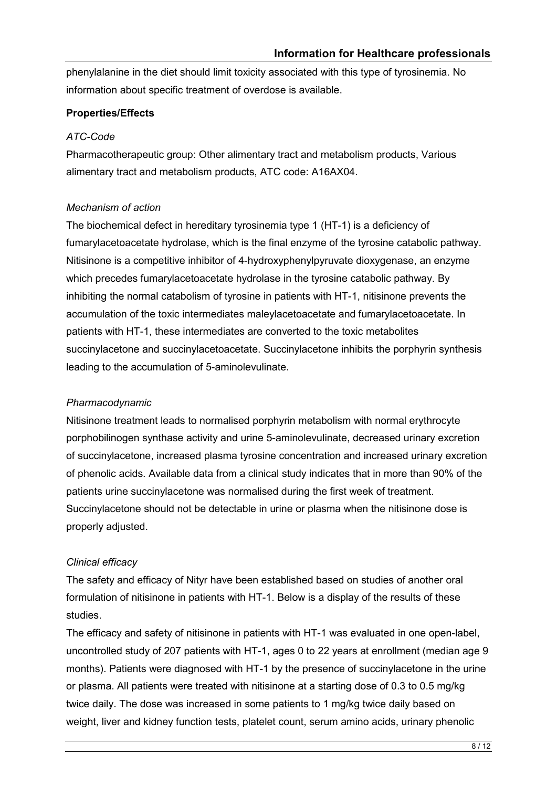phenylalanine in the diet should limit toxicity associated with this type of tyrosinemia. No information about specific treatment of overdose is available.

# **Properties/Effects**

### *ATC-Code*

Pharmacotherapeutic group: Other alimentary tract and metabolism products, Various alimentary tract and metabolism products, ATC code: A16AX04.

# *Mechanism of action*

The biochemical defect in hereditary tyrosinemia type 1 (HT-1) is a deficiency of fumarylacetoacetate hydrolase, which is the final enzyme of the tyrosine catabolic pathway. Nitisinone is a competitive inhibitor of 4-hydroxyphenylpyruvate dioxygenase, an enzyme which precedes fumarylacetoacetate hydrolase in the tyrosine catabolic pathway. By inhibiting the normal catabolism of tyrosine in patients with HT-1, nitisinone prevents the accumulation of the toxic intermediates maleylacetoacetate and fumarylacetoacetate. In patients with HT-1, these intermediates are converted to the toxic metabolites succinylacetone and succinylacetoacetate. Succinylacetone inhibits the porphyrin synthesis leading to the accumulation of 5-aminolevulinate.

### *Pharmacodynamic*

Nitisinone treatment leads to normalised porphyrin metabolism with normal erythrocyte porphobilinogen synthase activity and urine 5-aminolevulinate, decreased urinary excretion of succinylacetone, increased plasma tyrosine concentration and increased urinary excretion of phenolic acids. Available data from a clinical study indicates that in more than 90% of the patients urine succinylacetone was normalised during the first week of treatment. Succinylacetone should not be detectable in urine or plasma when the nitisinone dose is properly adjusted.

# *Clinical efficacy*

The safety and efficacy of Nityr have been established based on studies of another oral formulation of nitisinone in patients with HT-1. Below is a display of the results of these studies.

The efficacy and safety of nitisinone in patients with HT-1 was evaluated in one open-label, uncontrolled study of 207 patients with HT-1, ages 0 to 22 years at enrollment (median age 9 months). Patients were diagnosed with HT-1 by the presence of succinylacetone in the urine or plasma. All patients were treated with nitisinone at a starting dose of 0.3 to 0.5 mg/kg twice daily. The dose was increased in some patients to 1 mg/kg twice daily based on weight, liver and kidney function tests, platelet count, serum amino acids, urinary phenolic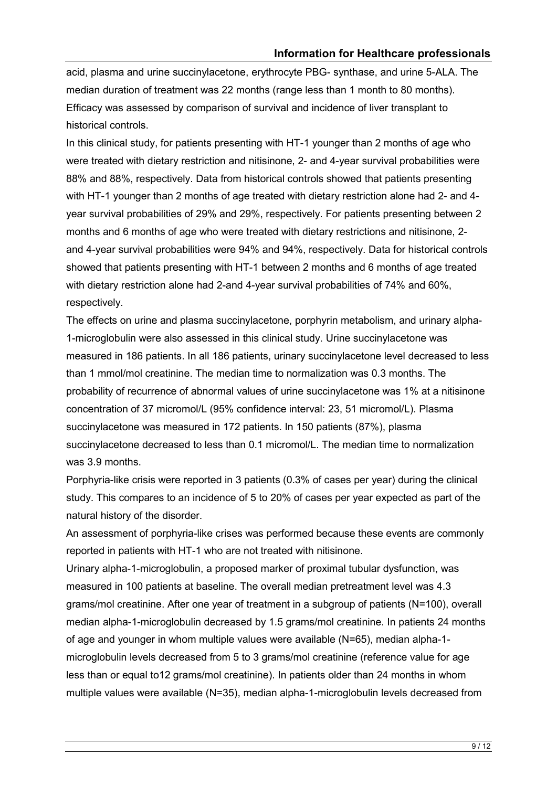acid, plasma and urine succinylacetone, erythrocyte PBG- synthase, and urine 5-ALA. The median duration of treatment was 22 months (range less than 1 month to 80 months). Efficacy was assessed by comparison of survival and incidence of liver transplant to historical controls.

In this clinical study, for patients presenting with HT-1 younger than 2 months of age who were treated with dietary restriction and nitisinone, 2- and 4-year survival probabilities were 88% and 88%, respectively. Data from historical controls showed that patients presenting with HT-1 younger than 2 months of age treated with dietary restriction alone had 2- and 4 year survival probabilities of 29% and 29%, respectively. For patients presenting between 2 months and 6 months of age who were treated with dietary restrictions and nitisinone, 2 and 4-year survival probabilities were 94% and 94%, respectively. Data for historical controls showed that patients presenting with HT-1 between 2 months and 6 months of age treated with dietary restriction alone had 2-and 4-year survival probabilities of 74% and 60%, respectively.

The effects on urine and plasma succinylacetone, porphyrin metabolism, and urinary alpha-1-microglobulin were also assessed in this clinical study. Urine succinylacetone was measured in 186 patients. In all 186 patients, urinary succinylacetone level decreased to less than 1 mmol/mol creatinine. The median time to normalization was 0.3 months. The probability of recurrence of abnormal values of urine succinylacetone was 1% at a nitisinone concentration of 37 micromol/L (95% confidence interval: 23, 51 micromol/L). Plasma succinylacetone was measured in 172 patients. In 150 patients (87%), plasma succinylacetone decreased to less than 0.1 micromol/L. The median time to normalization was 3.9 months.

Porphyria-like crisis were reported in 3 patients (0.3% of cases per year) during the clinical study. This compares to an incidence of 5 to 20% of cases per year expected as part of the natural history of the disorder.

An assessment of porphyria-like crises was performed because these events are commonly reported in patients with HT-1 who are not treated with nitisinone.

Urinary alpha-1-microglobulin, a proposed marker of proximal tubular dysfunction, was measured in 100 patients at baseline. The overall median pretreatment level was 4.3 grams/mol creatinine. After one year of treatment in a subgroup of patients (N=100), overall median alpha-1-microglobulin decreased by 1.5 grams/mol creatinine. In patients 24 months of age and younger in whom multiple values were available (N=65), median alpha-1 microglobulin levels decreased from 5 to 3 grams/mol creatinine (reference value for age less than or equal to12 grams/mol creatinine). In patients older than 24 months in whom multiple values were available (N=35), median alpha-1-microglobulin levels decreased from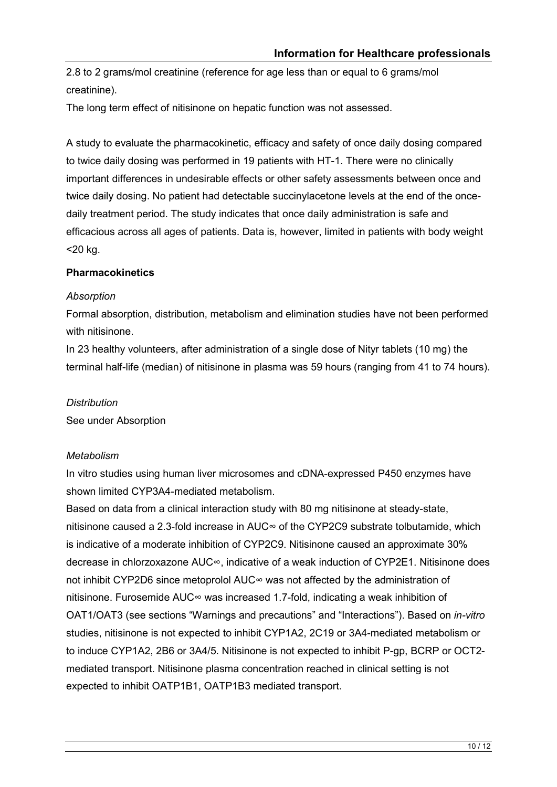2.8 to 2 grams/mol creatinine (reference for age less than or equal to 6 grams/mol creatinine).

The long term effect of nitisinone on hepatic function was not assessed.

A study to evaluate the pharmacokinetic, efficacy and safety of once daily dosing compared to twice daily dosing was performed in 19 patients with HT-1. There were no clinically important differences in undesirable effects or other safety assessments between once and twice daily dosing. No patient had detectable succinylacetone levels at the end of the oncedaily treatment period. The study indicates that once daily administration is safe and efficacious across all ages of patients. Data is, however, limited in patients with body weight <20 kg.

#### **Pharmacokinetics**

#### *Absorption*

Formal absorption, distribution, metabolism and elimination studies have not been performed with nitisinone.

In 23 healthy volunteers, after administration of a single dose of Nityr tablets (10 mg) the terminal half-life (median) of nitisinone in plasma was 59 hours (ranging from 41 to 74 hours).

### *Distribution*

See under Absorption

### *Metabolism*

In vitro studies using human liver microsomes and cDNA-expressed P450 enzymes have shown limited CYP3A4-mediated metabolism.

Based on data from a clinical interaction study with 80 mg nitisinone at steady-state, nitisinone caused a 2.3-fold increase in AUC∞ of the CYP2C9 substrate tolbutamide, which is indicative of a moderate inhibition of CYP2C9. Nitisinone caused an approximate 30% decrease in chlorzoxazone AUC∞, indicative of a weak induction of CYP2E1. Nitisinone does not inhibit CYP2D6 since metoprolol AUC∞ was not affected by the administration of nitisinone. Furosemide AUC∞ was increased 1.7-fold, indicating a weak inhibition of OAT1/OAT3 (see sections "Warnings and precautions" and "Interactions"). Based on *in-vitro* studies, nitisinone is not expected to inhibit CYP1A2, 2C19 or 3A4-mediated metabolism or to induce CYP1A2, 2B6 or 3A4/5. Nitisinone is not expected to inhibit P-gp, BCRP or OCT2 mediated transport. Nitisinone plasma concentration reached in clinical setting is not expected to inhibit OATP1B1, OATP1B3 mediated transport.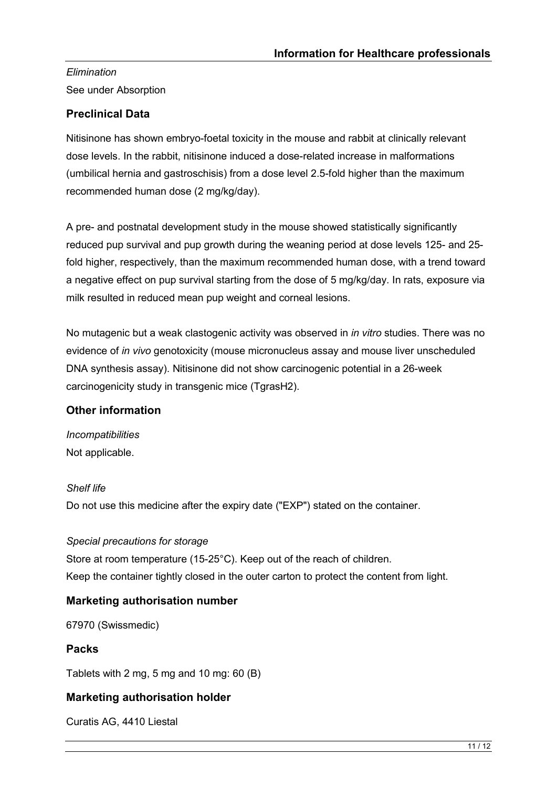# *Elimination* See under Absorption

# **Preclinical Data**

Nitisinone has shown embryo-foetal toxicity in the mouse and rabbit at clinically relevant dose levels. In the rabbit, nitisinone induced a dose-related increase in malformations (umbilical hernia and gastroschisis) from a dose level 2.5-fold higher than the maximum recommended human dose (2 mg/kg/day).

A pre- and postnatal development study in the mouse showed statistically significantly reduced pup survival and pup growth during the weaning period at dose levels 125- and 25 fold higher, respectively, than the maximum recommended human dose, with a trend toward a negative effect on pup survival starting from the dose of 5 mg/kg/day. In rats, exposure via milk resulted in reduced mean pup weight and corneal lesions.

No mutagenic but a weak clastogenic activity was observed in *in vitro* studies. There was no evidence of *in vivo* genotoxicity (mouse micronucleus assay and mouse liver unscheduled DNA synthesis assay). Nitisinone did not show carcinogenic potential in a 26-week carcinogenicity study in transgenic mice (TgrasH2).

# **Other information**

*Incompatibilities* Not applicable.

### *Shelf life*

Do not use this medicine after the expiry date ("EXP") stated on the container.

### *Special precautions for storage*

Store at room temperature (15-25°C). Keep out of the reach of children. Keep the container tightly closed in the outer carton to protect the content from light.

# **Marketing authorisation number**

67970 (Swissmedic)

# **Packs**

Tablets with 2 mg, 5 mg and 10 mg: 60 (B)

# **Marketing authorisation holder**

Curatis AG, 4410 Liestal